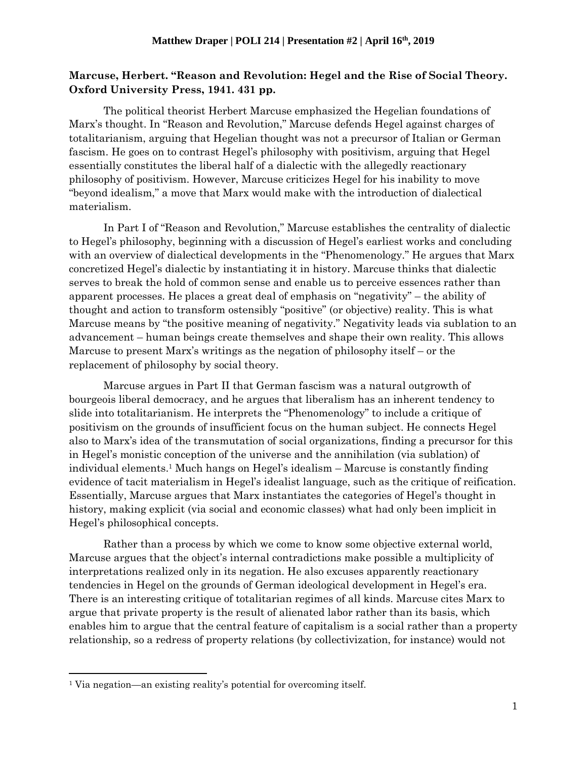## **Marcuse, Herbert. "Reason and Revolution: Hegel and the Rise of Social Theory. Oxford University Press, 1941. 431 pp.**

The political theorist Herbert Marcuse emphasized the Hegelian foundations of Marx's thought. In "Reason and Revolution," Marcuse defends Hegel against charges of totalitarianism, arguing that Hegelian thought was not a precursor of Italian or German fascism. He goes on to contrast Hegel's philosophy with positivism, arguing that Hegel essentially constitutes the liberal half of a dialectic with the allegedly reactionary philosophy of positivism. However, Marcuse criticizes Hegel for his inability to move "beyond idealism," a move that Marx would make with the introduction of dialectical materialism.

In Part I of "Reason and Revolution," Marcuse establishes the centrality of dialectic to Hegel's philosophy, beginning with a discussion of Hegel's earliest works and concluding with an overview of dialectical developments in the "Phenomenology." He argues that Marx concretized Hegel's dialectic by instantiating it in history. Marcuse thinks that dialectic serves to break the hold of common sense and enable us to perceive essences rather than apparent processes. He places a great deal of emphasis on "negativity" – the ability of thought and action to transform ostensibly "positive" (or objective) reality. This is what Marcuse means by "the positive meaning of negativity." Negativity leads via sublation to an advancement – human beings create themselves and shape their own reality. This allows Marcuse to present Marx's writings as the negation of philosophy itself – or the replacement of philosophy by social theory.

Marcuse argues in Part II that German fascism was a natural outgrowth of bourgeois liberal democracy, and he argues that liberalism has an inherent tendency to slide into totalitarianism. He interprets the "Phenomenology" to include a critique of positivism on the grounds of insufficient focus on the human subject. He connects Hegel also to Marx's idea of the transmutation of social organizations, finding a precursor for this in Hegel's monistic conception of the universe and the annihilation (via sublation) of individual elements. <sup>1</sup> Much hangs on Hegel's idealism – Marcuse is constantly finding evidence of tacit materialism in Hegel's idealist language, such as the critique of reification. Essentially, Marcuse argues that Marx instantiates the categories of Hegel's thought in history, making explicit (via social and economic classes) what had only been implicit in Hegel's philosophical concepts.

Rather than a process by which we come to know some objective external world, Marcuse argues that the object's internal contradictions make possible a multiplicity of interpretations realized only in its negation. He also excuses apparently reactionary tendencies in Hegel on the grounds of German ideological development in Hegel's era. There is an interesting critique of totalitarian regimes of all kinds. Marcuse cites Marx to argue that private property is the result of alienated labor rather than its basis, which enables him to argue that the central feature of capitalism is a social rather than a property relationship, so a redress of property relations (by collectivization, for instance) would not

 $\overline{\phantom{a}}$ 

<sup>1</sup> Via negation—an existing reality's potential for overcoming itself.